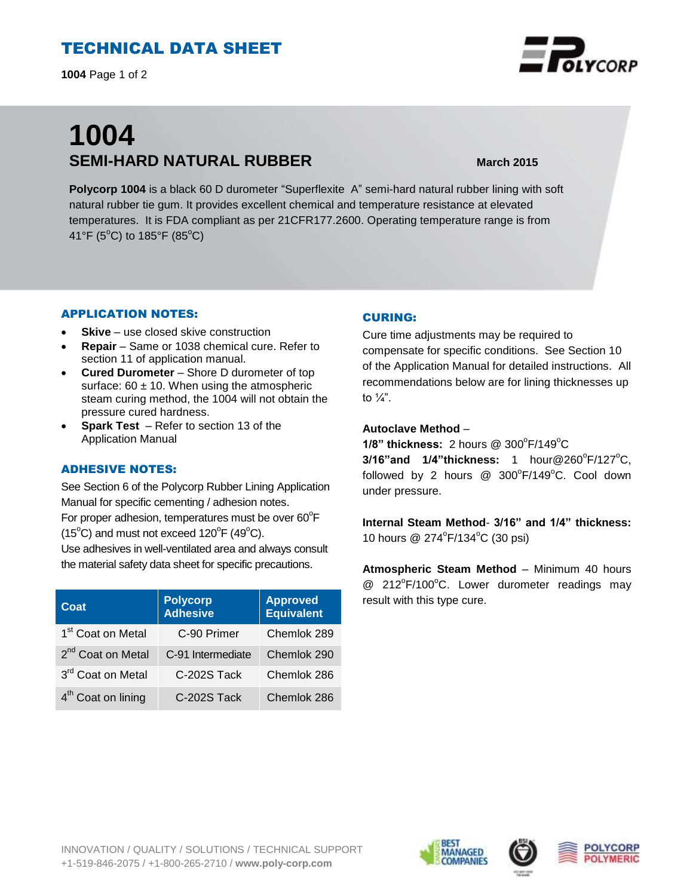# TECHNICAL DATA SHEET

**1004** Page 1 of 2

# **1004 SEMI-HARD NATURAL RUBBER March 2015**

**Polycorp 1004** is a black 60 D durometer "Superflexite A" semi-hard natural rubber lining with soft natural rubber tie gum. It provides excellent chemical and temperature resistance at elevated temperatures. It is FDA compliant as per 21CFR177.2600. Operating temperature range is from 41°F (5°C) to 185°F (85°C)

## APPLICATION NOTES:

- **Skive** use closed skive construction
- **Repair**  Same or 1038 chemical cure. Refer to section 11 of application manual.
- **Cured Durometer** Shore D durometer of top surface:  $60 \pm 10$ . When using the atmospheric steam curing method, the 1004 will not obtain the pressure cured hardness.
- **Spark Test**  Refer to section 13 of the Application Manual

## ADHESIVE NOTES:

See Section 6 of the Polycorp Rubber Lining Application Manual for specific cementing / adhesion notes. For proper adhesion, temperatures must be over  $60^{\circ}$ F  $(15^{\circ}C)$  and must not exceed  $120^{\circ}F(49^{\circ}C)$ .

Use adhesives in well-ventilated area and always consult the material safety data sheet for specific precautions.

| Coat                           | <b>Polycorp</b><br><b>Adhesive</b> | <b>Approved</b><br><b>Equivalent</b> |
|--------------------------------|------------------------------------|--------------------------------------|
| 1 <sup>st</sup> Coat on Metal  | C-90 Primer                        | Chemlok 289                          |
| 2 <sup>nd</sup> Coat on Metal  | C-91 Intermediate                  | Chemlok 290                          |
| 3rd Coat on Metal              | C-202S Tack                        | Chemlok 286                          |
| 4 <sup>th</sup> Coat on lining | C-202S Tack                        | Chemlok 286                          |

#### CURING:

Cure time adjustments may be required to compensate for specific conditions. See Section 10 of the Application Manual for detailed instructions. All recommendations below are for lining thicknesses up to  $\frac{1}{4}$ ".

#### **Autoclave Method** –

**1/8" thickness:** 2 hours @ 300°F/149°C **3/16"and 1/4"thickness:** 1 hour@260°F/127°C, followed by 2 hours  $@$  300 $^{\circ}$ F/149 $^{\circ}$ C. Cool down under pressure.

**Internal Steam Method**- **3/16" and 1/4" thickness:** 10 hours @ 274°F/134°C (30 psi)

**Atmospheric Steam Method** – Minimum 40 hours @ 212°F/100°C. Lower durometer readings may result with this type cure.